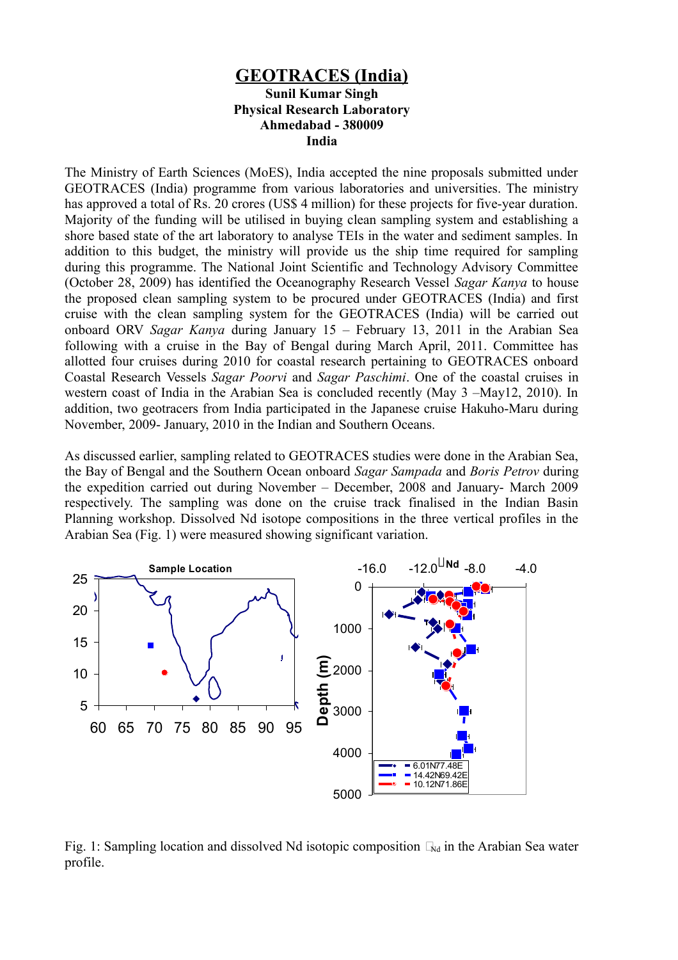## **GEOTRACES (India) Sunil Kumar Singh Physical Research Laboratory Ahmedabad - 380009 India**

The Ministry of Earth Sciences (MoES), India accepted the nine proposals submitted under GEOTRACES (India) programme from various laboratories and universities. The ministry has approved a total of Rs. 20 crores (US\$ 4 million) for these projects for five-year duration. Majority of the funding will be utilised in buying clean sampling system and establishing a shore based state of the art laboratory to analyse TEIs in the water and sediment samples. In addition to this budget, the ministry will provide us the ship time required for sampling during this programme. The National Joint Scientific and Technology Advisory Committee (October 28, 2009) has identified the Oceanography Research Vessel *Sagar Kanya* to house the proposed clean sampling system to be procured under GEOTRACES (India) and first cruise with the clean sampling system for the GEOTRACES (India) will be carried out onboard ORV *Sagar Kanya* during January 15 – February 13, 2011 in the Arabian Sea following with a cruise in the Bay of Bengal during March April, 2011. Committee has allotted four cruises during 2010 for coastal research pertaining to GEOTRACES onboard Coastal Research Vessels *Sagar Poorvi* and *Sagar Paschimi*. One of the coastal cruises in western coast of India in the Arabian Sea is concluded recently (May 3 –May12, 2010). In addition, two geotracers from India participated in the Japanese cruise Hakuho-Maru during November, 2009- January, 2010 in the Indian and Southern Oceans.

As discussed earlier, sampling related to GEOTRACES studies were done in the Arabian Sea, the Bay of Bengal and the Southern Ocean onboard *Sagar Sampada* and *Boris Petrov* during the expedition carried out during November – December, 2008 and January- March 2009 respectively. The sampling was done on the cruise track finalised in the Indian Basin Planning workshop. Dissolved Nd isotope compositions in the three vertical profiles in the Arabian Sea (Fig. 1) were measured showing significant variation.



Fig. 1: Sampling location and dissolved Nd isotopic composition  $\Box_{Nd}$  in the Arabian Sea water profile.